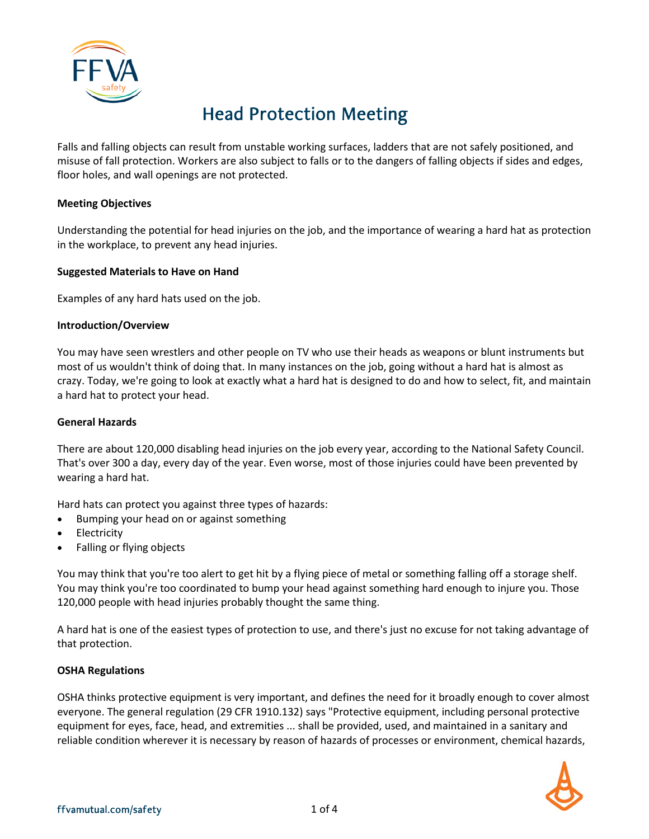

# Head Protection Meeting

Falls and falling objects can result from unstable working surfaces, ladders that are not safely positioned, and misuse of fall protection. Workers are also subject to falls or to the dangers of falling objects if sides and edges, floor holes, and wall openings are not protected.

#### **Meeting Objectives**

Understanding the potential for head injuries on the job, and the importance of wearing a hard hat as protection in the workplace, to prevent any head injuries.

#### **Suggested Materials to Have on Hand**

Examples of any hard hats used on the job.

#### **Introduction/Overview**

You may have seen wrestlers and other people on TV who use their heads as weapons or blunt instruments but most of us wouldn't think of doing that. In many instances on the job, going without a hard hat is almost as crazy. Today, we're going to look at exactly what a hard hat is designed to do and how to select, fit, and maintain a hard hat to protect your head.

#### **General Hazards**

There are about 120,000 disabling head injuries on the job every year, according to the National Safety Council. That's over 300 a day, every day of the year. Even worse, most of those injuries could have been prevented by wearing a hard hat.

Hard hats can protect you against three types of hazards:

- Bumping your head on or against something
- **Electricity**
- Falling or flying objects

You may think that you're too alert to get hit by a flying piece of metal or something falling off a storage shelf. You may think you're too coordinated to bump your head against something hard enough to injure you. Those 120,000 people with head injuries probably thought the same thing.

A hard hat is one of the easiest types of protection to use, and there's just no excuse for not taking advantage of that protection.

#### **OSHA Regulations**

OSHA thinks protective equipment is very important, and defines the need for it broadly enough to cover almost everyone. The general regulation (29 CFR 1910.132) says "Protective equipment, including personal protective equipment for eyes, face, head, and extremities ... shall be provided, used, and maintained in a sanitary and reliable condition wherever it is necessary by reason of hazards of processes or environment, chemical hazards,

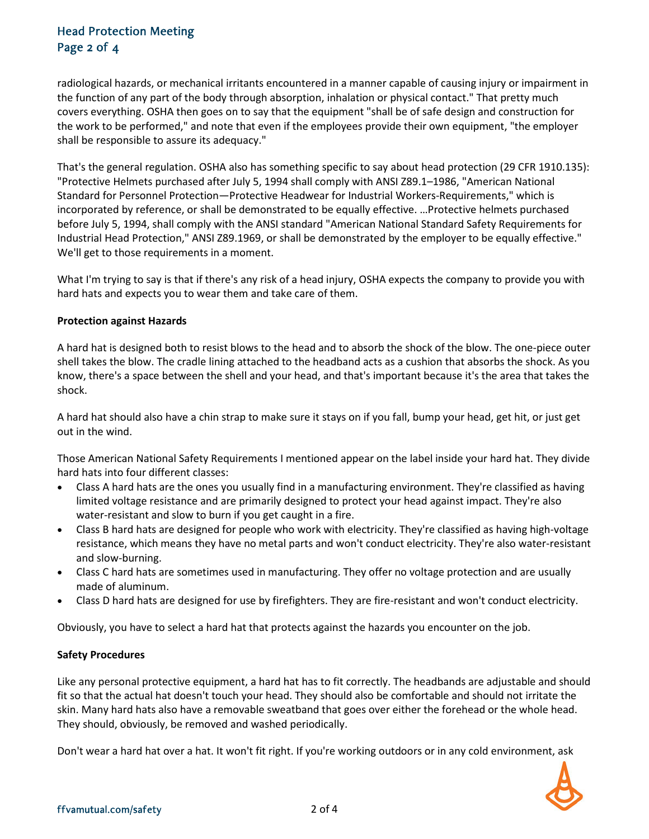## Head Protection Meeting Page 2 of 4

radiological hazards, or mechanical irritants encountered in a manner capable of causing injury or impairment in the function of any part of the body through absorption, inhalation or physical contact." That pretty much covers everything. OSHA then goes on to say that the equipment "shall be of safe design and construction for the work to be performed," and note that even if the employees provide their own equipment, "the employer shall be responsible to assure its adequacy."

That's the general regulation. OSHA also has something specific to say about head protection (29 CFR 1910.135): "Protective Helmets purchased after July 5, 1994 shall comply with ANSI Z89.1–1986, "American National Standard for Personnel Protection—Protective Headwear for Industrial Workers-Requirements," which is incorporated by reference, or shall be demonstrated to be equally effective. …Protective helmets purchased before July 5, 1994, shall comply with the ANSI standard "American National Standard Safety Requirements for Industrial Head Protection," ANSI Z89.1969, or shall be demonstrated by the employer to be equally effective." We'll get to those requirements in a moment.

What I'm trying to say is that if there's any risk of a head injury, OSHA expects the company to provide you with hard hats and expects you to wear them and take care of them.

#### **Protection against Hazards**

A hard hat is designed both to resist blows to the head and to absorb the shock of the blow. The one-piece outer shell takes the blow. The cradle lining attached to the headband acts as a cushion that absorbs the shock. As you know, there's a space between the shell and your head, and that's important because it's the area that takes the shock.

A hard hat should also have a chin strap to make sure it stays on if you fall, bump your head, get hit, or just get out in the wind.

Those American National Safety Requirements I mentioned appear on the label inside your hard hat. They divide hard hats into four different classes:

- Class A hard hats are the ones you usually find in a manufacturing environment. They're classified as having limited voltage resistance and are primarily designed to protect your head against impact. They're also water-resistant and slow to burn if you get caught in a fire.
- Class B hard hats are designed for people who work with electricity. They're classified as having high-voltage resistance, which means they have no metal parts and won't conduct electricity. They're also water-resistant and slow-burning.
- Class C hard hats are sometimes used in manufacturing. They offer no voltage protection and are usually made of aluminum.
- Class D hard hats are designed for use by firefighters. They are fire-resistant and won't conduct electricity.

Obviously, you have to select a hard hat that protects against the hazards you encounter on the job.

#### **Safety Procedures**

Like any personal protective equipment, a hard hat has to fit correctly. The headbands are adjustable and should fit so that the actual hat doesn't touch your head. They should also be comfortable and should not irritate the skin. Many hard hats also have a removable sweatband that goes over either the forehead or the whole head. They should, obviously, be removed and washed periodically.

Don't wear a hard hat over a hat. It won't fit right. If you're working outdoors or in any cold environment, ask

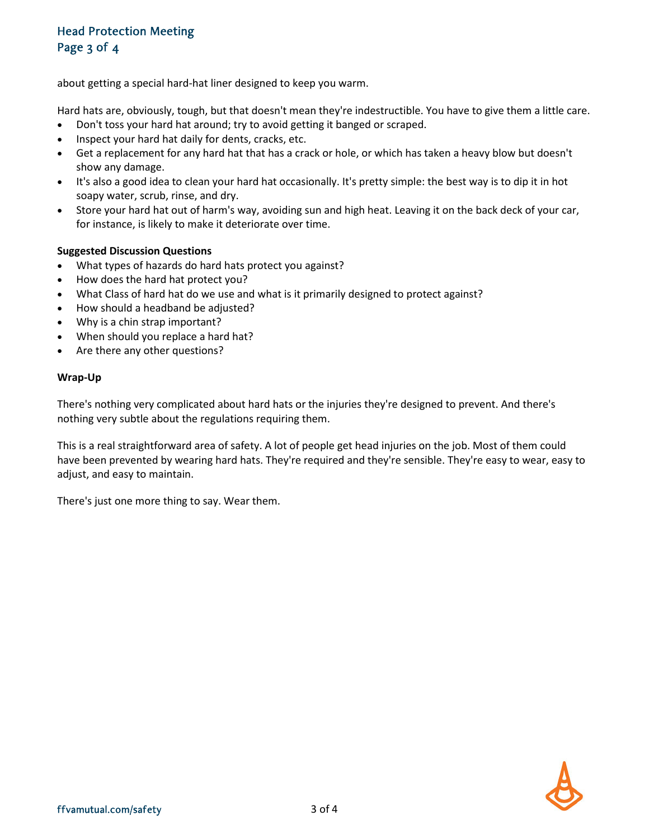## Head Protection Meeting Page 3 of 4

about getting a special hard-hat liner designed to keep you warm.

Hard hats are, obviously, tough, but that doesn't mean they're indestructible. You have to give them a little care.

- Don't toss your hard hat around; try to avoid getting it banged or scraped.
- Inspect your hard hat daily for dents, cracks, etc.
- Get a replacement for any hard hat that has a crack or hole, or which has taken a heavy blow but doesn't show any damage.
- It's also a good idea to clean your hard hat occasionally. It's pretty simple: the best way is to dip it in hot soapy water, scrub, rinse, and dry.
- Store your hard hat out of harm's way, avoiding sun and high heat. Leaving it on the back deck of your car, for instance, is likely to make it deteriorate over time.

#### **Suggested Discussion Questions**

- What types of hazards do hard hats protect you against?
- How does the hard hat protect you?
- What Class of hard hat do we use and what is it primarily designed to protect against?
- How should a headband be adjusted?
- Why is a chin strap important?
- When should you replace a hard hat?
- Are there any other questions?

#### **Wrap-Up**

There's nothing very complicated about hard hats or the injuries they're designed to prevent. And there's nothing very subtle about the regulations requiring them.

This is a real straightforward area of safety. A lot of people get head injuries on the job. Most of them could have been prevented by wearing hard hats. They're required and they're sensible. They're easy to wear, easy to adjust, and easy to maintain.

There's just one more thing to say. Wear them.